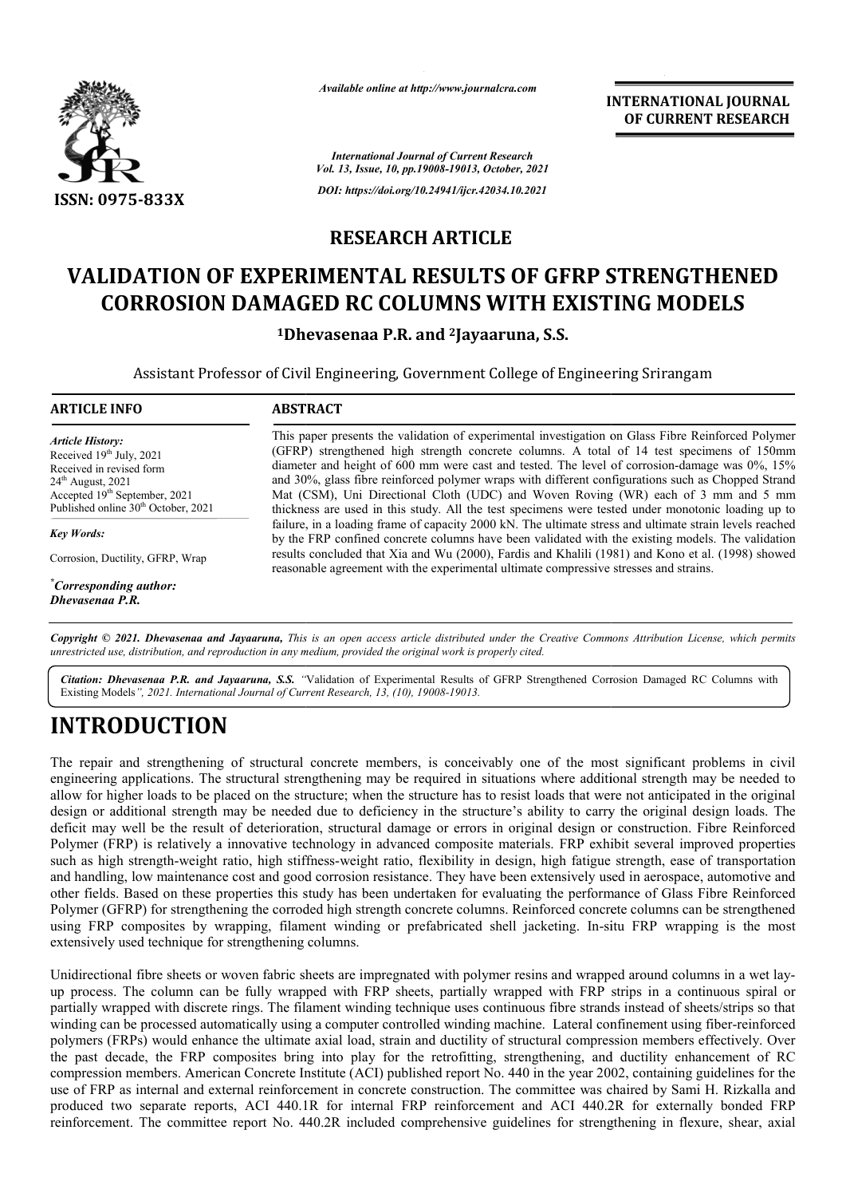

*Available online at http://www.journalcra.com*

**INTERNATIONAL JOURNAL OF CURRENT RESEARCH**

*International Journal of Current Research Vol. 13, Issue, 10, pp.19008-19013, October, 2021 DOI: https://doi.org/10.24941/ijcr.42034.10.2021*

# **RESEARCH ARTICLE**

# VALIDATION OF EXPERIMENTAL RESULTS OF GFRP STRENGTHENED<br>CORROSION DAMAGED RC COLUMNS WITH EXISTING MODELS **CORROSION DAMAGED RC COLUMNS WITH EXISTING MODELS**

**1Dhevasenaa P.R. Dhevasenaa and 2Jayaaruna, S.S.**

Assistant Professor of Civil Engineering, Government College of Engineering Srirangam

#### **ARTICLE INFO ABSTRACT** This paper presents the validation of experimental investigation on Glass Fibre Reinforced Polymer (GFRP) strengthened high strength concrete columns. A total of 14 test specimens of 150mm diameter and height of 600 mm were cast and tested. The level of corrosion-damage was 0%, 15% and 30%, glass fibre reinforced polymer wraps with different configurations such as Chopped Strand Mat (CSM), Uni Directional Cloth (UDC) and Woven Roving (WR) each of 3 mm and 5 mm thickness are used in this study. All the test specimens were tested under monotonic loading up to and 30%, glass fibre reinforced polymer wraps with different configurations such as Chopped Strand Mat (CSM), Uni Directional Cloth (UDC) and Woven Roving (WR) each of 3 mm and 5 mm thickness are used in this study. All th by the FRP confined concrete columns have been validated with the existing models. The validation results concluded that Xia and Wu (2000), Fardis and Khalili (1981) and Kono et al. (1998) showed reasonable agreement with the experimental ultimate compressive stresses and strains. *Article History: Article History:* Received  $19<sup>th</sup>$  July, 2021 Received in revised form Received in revised form Received  $24<sup>th</sup>$  August,  $2021$ Accepted 19<sup>th</sup> September, 2021 Published online 30<sup>th</sup> October, 2021 *Key Words:* Corrosion, Ductility, GFRP, Wrap This paper presents the validation of experimental investigation on Glass Fibre Reinforced Polymer (GFRP) strengthened high strength concrete columns. A total of 14 test specimens of 150mm diameter and height of 600 mm wer by the FRP confined concrete columns have been validated with the existing models. The validation<br>results concluded that Xia and Wu (2000), Fardis and Khalili (1981) and Kono et al. (1998) showed<br>reasonable agreement with

*\* Corresponding author: Dhevasenaa P.R.*

Copyright © 2021. Dhevasenaa and Jayaaruna, This is an open access article distributed under the Creative Commons Attribution License, which permits *unrestricted use, distribution, and reproduction in any medium, provided the original work is properly cited.*

Citation: Dhevasenaa P.R. and Jayaaruna, S.S. "Validation of Experimental Results of GFRP Strengthened Corrosion Damaged RC Columns with Existing Models*", 2021. International Journal of Current Research, 13, (10), 19008-19013.*

# **INTRODUCTION**

The repair and strengthening of structural concrete members, is conceivably one of the most significant problems in civil engineering applications. The structural strengthening may be required in situations where additional strength may be needed to allow for higher loads to be placed on the structure; when the structure has to resist loads that were not anticipated in the original design or additional strength may be needed due to deficiency in the structure's ability to carry the original design loads. The deficit may well be the result of deterioration, structural damage or errors in original design or construction. Fibre Reinforced Polymer (FRP) is relatively a innovative technology in advanced composite materials. FRP exhibit several improved properties Polymer (FRP) is relatively a innovative technology in advanced composite materials. FRP exhibit several improved properties<br>such as high strength-weight ratio, high stiffness-weight ratio, flexibility in design, high fati and handling, low maintenance cost and good corrosion resistance. They have been extensively used in aerospace, automotive and other fields. Based on these properties this study has been undertaken for evaluating the performance of Glass Fibre Reinforced Polymer (GFRP) for strengthening the corroded high strength concrete columns. Reinforced concrete columns can be strengthened Polymer (GFRP) for strengthening the corroded high strength concrete columns. Reinforced concrete columns can be strengthened<br>using FRP composites by wrapping, filament winding or prefabricated shell jacketing. In-situ FRP extensively used technique for strengthening columns.

Unidirectional fibre sheets or woven fabric sheets are impregnated with polymer resins and wrapped around columns in a wet layup process. The column can be fully wrapped with FRP sheets, partially wrapped with FRP strips in a continuous spiral or up process. The column can be fully wrapped with FRP sheets, partially wrapped with FRP strips in a continuous spiral or<br>partially wrapped with discrete rings. The filament winding technique uses continuous fibre strands i winding can be processed automatically using a computer controlled winding machine. Lateral confinement using fiber-reinforced polymers (FRPs) would enhance the ultimate axial load, strain and ductility of structural compression members effectively. Over the past decade, the FRP composites bring into play for the retrofitting, strengthening, and ductility enhancement of RC the past decade, the FRP composites bring into play for the retrofitting, strengthening, and ductility enhancement of RC compression members. American Concrete Institute (ACI) published report No. 440 in the year 2002, con use of FRP as internal and external reinforcement in concrete construction. The committee was chaired by Sami H. Rizkalla and produced two separate reports, ACI 440.1R for internal FRP reinforcement and ACI 440.2R for externally bonded FRP reinforcement. The committee report No. 440.2R included comprehensive guidelines for strengthening in flexure, shear, axial use of FRP as internal and external reinforcement in concrete construction. The committee was chaired by Sami H. Rizkalla and<br>produced two separate reports, ACI 440.1R for internal FRP reinforcement and ACI 440.2R for exte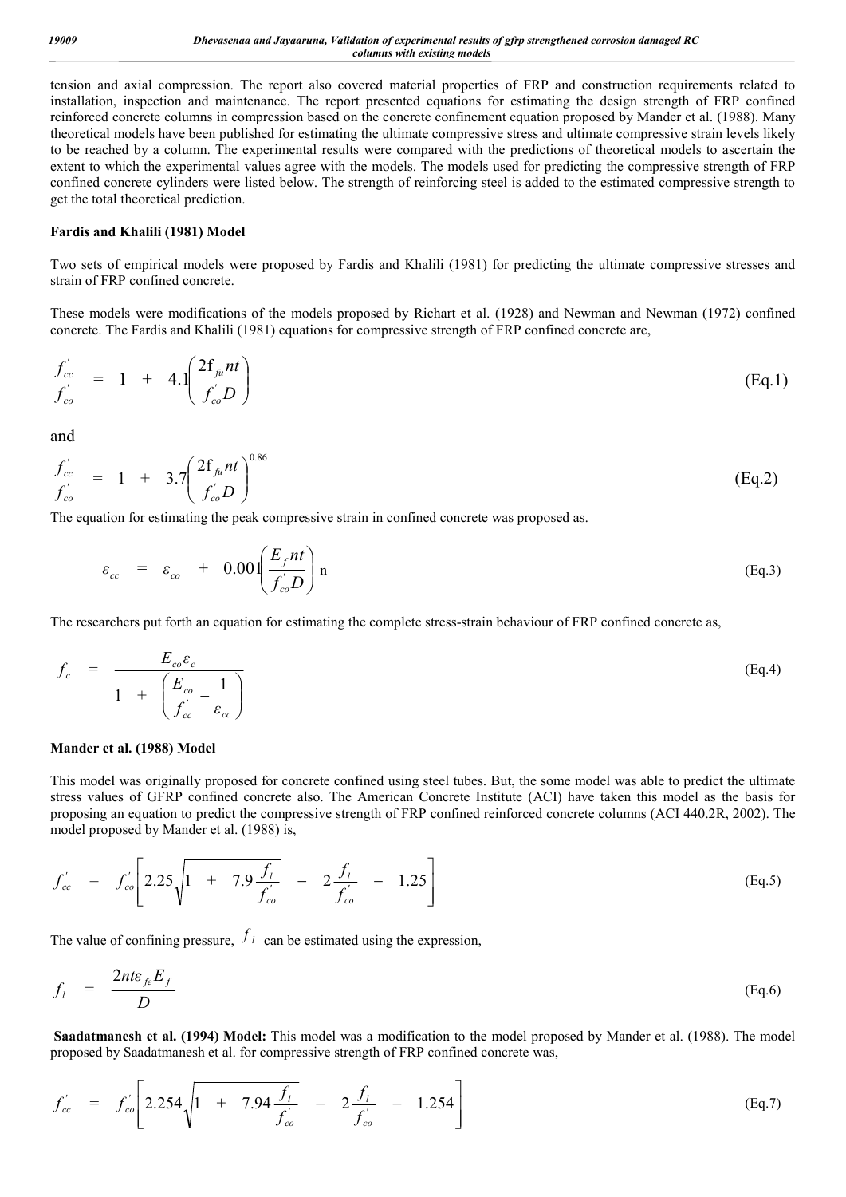tension and axial compression. The report also covered material properties of FRP and construction requirements related to installation, inspection and maintenance. The report presented equations for estimating the design strength of FRP confined reinforced concrete columns in compression based on the concrete confinement equation proposed by Mander et al. (1988). Many theoretical models have been published for estimating the ultimate compressive stress and ultimate compressive strain levels likely to be reached by a column. The experimental results were compared with the predictions of theoretical models to ascertain the extent to which the experimental values agree with the models. The models used for predicting the compressive strength of FRP confined concrete cylinders were listed below. The strength of reinforcing steel is added to the estimated compressive strength to get the total theoretical prediction.

### **Fardis and Khalili (1981) Model**

Two sets of empirical models were proposed by Fardis and Khalili (1981) for predicting the ultimate compressive stresses and strain of FRP confined concrete.

These models were modifications of the models proposed by Richart et al. (1928) and Newman and Newman (1972) confined concrete. The Fardis and Khalili (1981) equations for compressive strength of FRP confined concrete are,

$$
\frac{f'_{cc}}{f'_{co}} = 1 + 4 \cdot l \left( \frac{2f_{\hat{\mu}} nt}{f'_{co} D} \right) \tag{Eq.1}
$$

and

$$
\frac{f'_{cc}}{f'_{co}} = 1 + 3.7 \left( \frac{2f_{fi}nt}{f'_{co}D} \right)^{0.86}
$$
\n(Eq.2)

The equation for estimating the peak compressive strain in confined concrete was proposed as.

$$
\varepsilon_{cc} = \varepsilon_{co} + 0.00 \left( \frac{E_f n t}{f'_{co} D} \right) n \tag{Eq.3}
$$

The researchers put forth an equation for estimating the complete stress-strain behaviour of FRP confined concrete as,

$$
f_c = \frac{E_{co} \varepsilon_c}{1 + \left(\frac{E_{co}}{f_{cc}'} - \frac{1}{\varepsilon_{cc}}\right)}
$$
(Eq.4)

#### **Mander et al. (1988) Model**

This model was originally proposed for concrete confined using steel tubes. But, the some model was able to predict the ultimate stress values of GFRP confined concrete also. The American Concrete Institute (ACI) have taken this model as the basis for proposing an equation to predict the compressive strength of FRP confined reinforced concrete columns (ACI 440.2R, 2002). The model proposed by Mander et al. (1988) is,

$$
f'_{cc} = f'_{co} \left[ 2.25 \sqrt{1 + 7.9 \frac{f_l}{f'_{co}}} - 2 \frac{f_l}{f'_{co}} - 1.25 \right]
$$
 (Eq.5)

The value of confining pressure,  $f_i$  can be estimated using the expression,

$$
f_l = \frac{2nt\varepsilon_{fe}E_f}{D} \tag{Eq.6}
$$

**Saadatmanesh et al. (1994) Model:** This model was a modification to the model proposed by Mander et al. (1988). The model proposed by Saadatmanesh et al. for compressive strength of FRP confined concrete was,

$$
f'_{cc} = f'_{co} \left[ 2.254 \sqrt{1 + 7.94 \frac{f_l}{f'_{co}}} - 2 \frac{f_l}{f'_{co}} - 1.254 \right]
$$
 (Eq.7)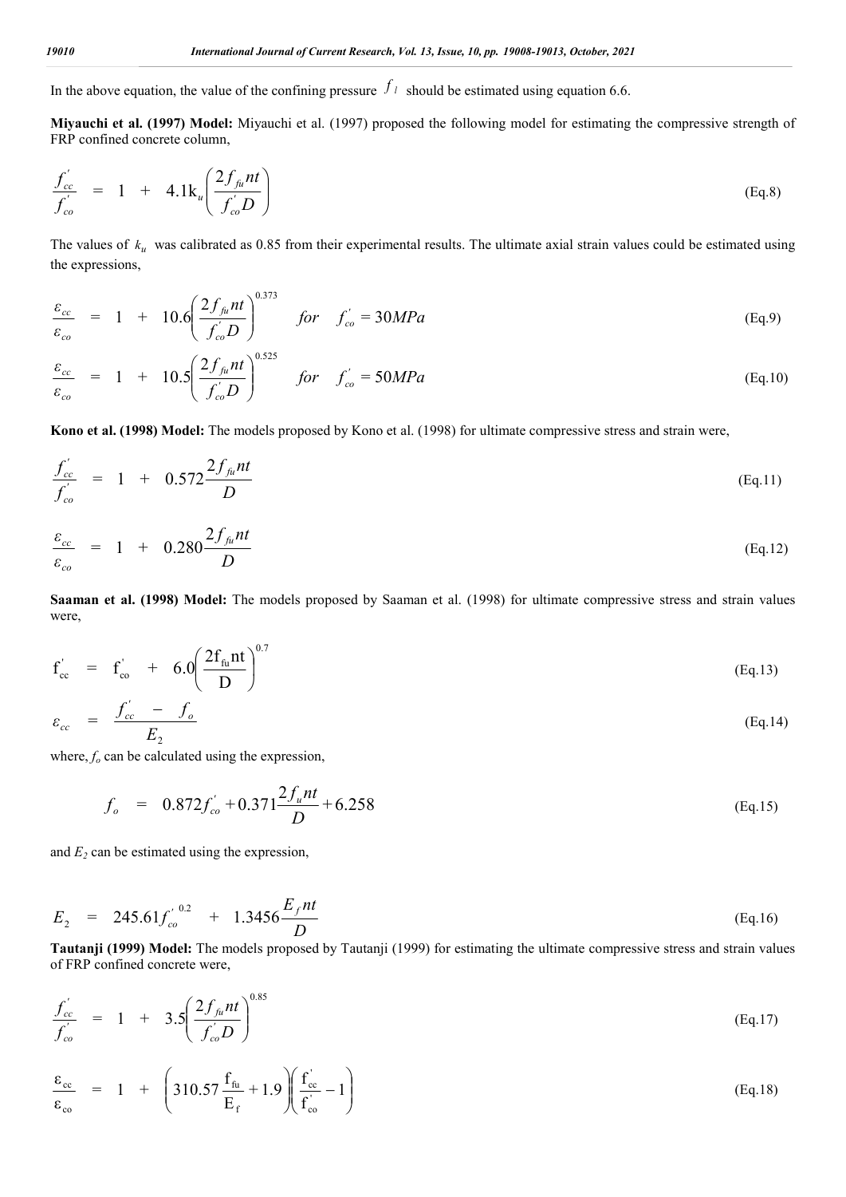In the above equation, the value of the confining pressure  $f_i$  should be estimated using equation 6.6.

**Miyauchi et al. (1997) Model:** Miyauchi et al. (1997) proposed the following model for estimating the compressive strength of FRP confined concrete column,

$$
\frac{f'_{cc}}{f'_{co}} = 1 + 4.1 \text{kg} \left( \frac{2f_{ju}nt}{f'_{co} D} \right)
$$
\n(Eq.8)

The values of  $k_u$  was calibrated as 0.85 from their experimental results. The ultimate axial strain values could be estimated using the expressions,

$$
\frac{\varepsilon_{cc}}{\varepsilon_{co}} = 1 + 10.6 \left( \frac{2 f_{fu} n t}{f_{co}^{'} D} \right)^{0.373} \quad \text{for} \quad f_{co}^{'} = 30 MPa \tag{Eq.9}
$$

$$
\frac{\varepsilon_{cc}}{\varepsilon_{co}} = 1 + 10.5 \left( \frac{2 f_{fa} n t}{f_{co}' D} \right)^{0.525} \quad \text{for} \quad f_{co}^{'} = 50 MPa \tag{Eq.10}
$$

**Kono et al. (1998) Model:** The models proposed by Kono et al. (1998) for ultimate compressive stress and strain were,

$$
\frac{f'_{cc}}{f'_{co}} = 1 + 0.572 \frac{2f_{fu}nt}{D}
$$
\n(Eq.11)

$$
\frac{\varepsilon_{cc}}{\varepsilon_{co}} = 1 + 0.280 \frac{2 f_{fu} nt}{D} \tag{Eq.12}
$$

**Saaman et al. (1998) Model:** The models proposed by Saaman et al. (1998) for ultimate compressive stress and strain values were,

$$
\mathbf{f}_{\text{cc}}^{\dagger} = \mathbf{f}_{\text{co}}^{\dagger} + 6.0 \left( \frac{2 \mathbf{f}_{\text{fu}} \mathbf{nt}}{\mathbf{D}} \right)^{0.7}
$$
\n
$$
\varepsilon_{\text{cc}} = \frac{f_{\text{cc}}^{\dagger} - f_{\text{o}}}{E_2}
$$
\n(Eq.14)

where,  $f_0$  can be calculated using the expression,

$$
f_o = 0.872 f'_{co} + 0.371 \frac{2 f_u n t}{D} + 6.258
$$
 (Eq.15)

and  $E_2$  can be estimated using the expression,

$$
E_2 = 245.61 f_{co}^{0.2} + 1.3456 \frac{E_f n t}{D}
$$
 (Eq.16)

**Tautanji (1999) Model:** The models proposed by Tautanji (1999) for estimating the ultimate compressive stress and strain values of FRP confined concrete were,

$$
\frac{f'_{cc}}{f'_{co}} = 1 + 3.5 \left( \frac{2f_{f_{il}}nt}{f'_{co}D} \right)^{0.85}
$$
\n(Eq.17)

$$
\frac{\varepsilon_{\rm cc}}{\varepsilon_{\rm co}} = 1 + \left(310.57 \frac{f_{\rm fu}}{E_{\rm f}} + 1.9 \right) \left(\frac{f_{\rm cc}^{\prime}}{f_{\rm co}^{\prime}} - 1\right)
$$
\n(Eq.18)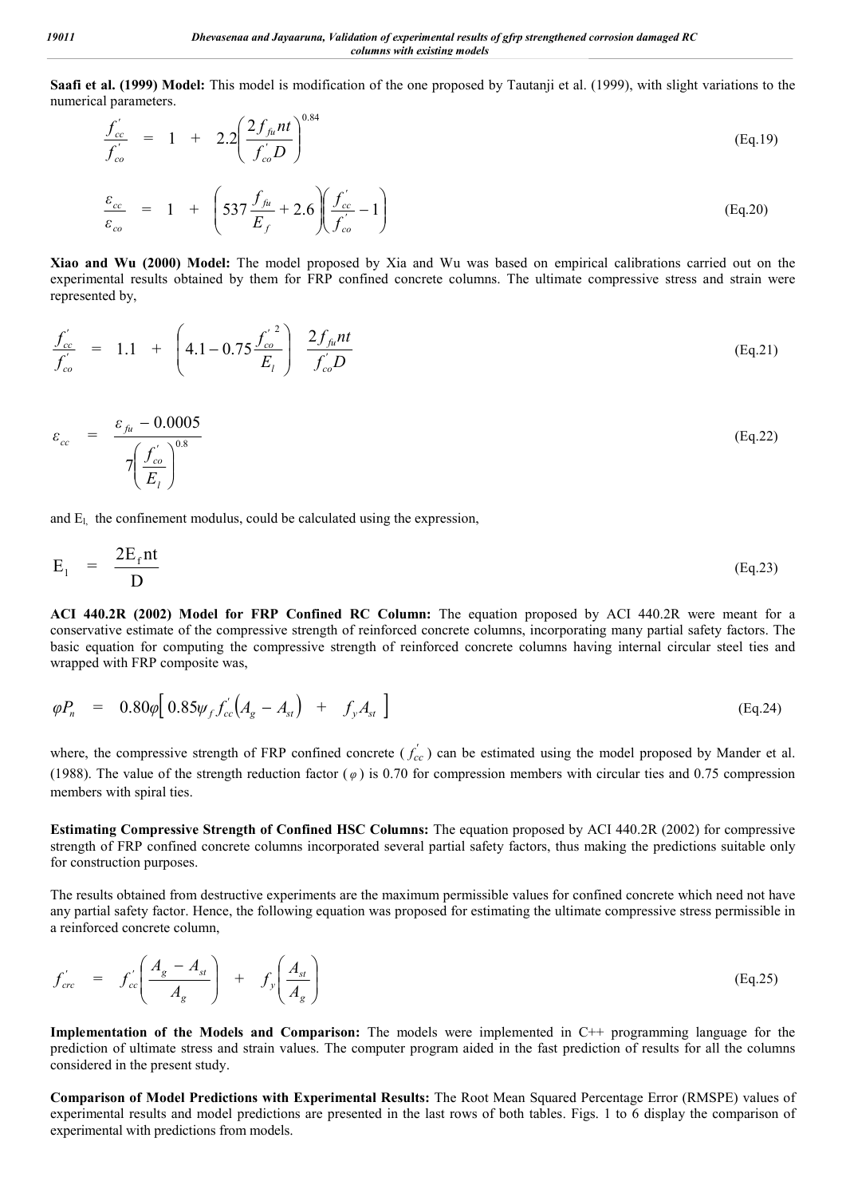**Saafi et al. (1999) Model:** This model is modification of the one proposed by Tautanji et al. (1999), with slight variations to the numerical parameters.

$$
\frac{f'_{cc}}{f'_{co}} = 1 + 2.2 \left( \frac{2f_{fu}nt}{f'_{co}D} \right)^{0.84}
$$
\n(Eq.19)

$$
\frac{\varepsilon_{cc}}{\varepsilon_{co}} = 1 + \left(537 \frac{f_{f u}}{E_f} + 2.6 \right) \left(\frac{f_{cc}'}{f_{co}'} - 1\right)
$$
\n(Eq.20)

**Xiao and Wu (2000) Model:** The model proposed by Xia and Wu was based on empirical calibrations carried out on the experimental results obtained by them for FRP confined concrete columns. The ultimate compressive stress and strain were represented by,

$$
\frac{f'_{cc}}{f'_{co}} = 1.1 + \left(4.1 - 0.75 \frac{{f'_{co}}^2}{E_l}\right) \frac{2f_{ju}nt}{f'_{co}D}
$$
\n(Eq.21)

$$
\varepsilon_{cc} = \frac{\varepsilon_{\scriptscriptstyle{f\mu}} - 0.0005}{7\left(\frac{f_{\scriptscriptstyle{c}\sigma}^{'}}{E_{\scriptscriptstyle{I}}}\right)^{0.8}} \tag{Eq.22}
$$

and  $E<sub>l</sub>$ , the confinement modulus, could be calculated using the expression,

$$
E_1 = \frac{2E_f nt}{D}
$$
 (Eq.23)

**ACI 440.2R (2002) Model for FRP Confined RC Column:** The equation proposed by ACI 440.2R were meant for a conservative estimate of the compressive strength of reinforced concrete columns, incorporating many partial safety factors. The basic equation for computing the compressive strength of reinforced concrete columns having internal circular steel ties and wrapped with FRP composite was,

$$
\varphi P_n = 0.80 \varphi \left[ 0.85 \psi_f f_{cc}^{'} \left( A_g - A_{st} \right) + f_y A_{st} \right] \tag{Eq.24}
$$

where, the compressive strength of FRP confined concrete  $(f'_{cc})$  can be estimated using the model proposed by Mander et al. (1988). The value of the strength reduction factor ( $\varphi$ ) is 0.70 for compression members with circular ties and 0.75 compression members with spiral ties.

**Estimating Compressive Strength of Confined HSC Columns:** The equation proposed by ACI 440.2R (2002) for compressive strength of FRP confined concrete columns incorporated several partial safety factors, thus making the predictions suitable only for construction purposes.

The results obtained from destructive experiments are the maximum permissible values for confined concrete which need not have any partial safety factor. Hence, the following equation was proposed for estimating the ultimate compressive stress permissible in a reinforced concrete column,

$$
f'_{\text{crc}} = f'_{\text{cc}} \left( \frac{A_g - A_{\text{st}}}{A_g} \right) + f_{\text{y}} \left( \frac{A_{\text{st}}}{A_g} \right) \tag{Eq.25}
$$

**Implementation of the Models and Comparison:** The models were implemented in C++ programming language for the prediction of ultimate stress and strain values. The computer program aided in the fast prediction of results for all the columns considered in the present study.

**Comparison of Model Predictions with Experimental Results:** The Root Mean Squared Percentage Error (RMSPE) values of experimental results and model predictions are presented in the last rows of both tables. Figs. 1 to 6 display the comparison of experimental with predictions from models.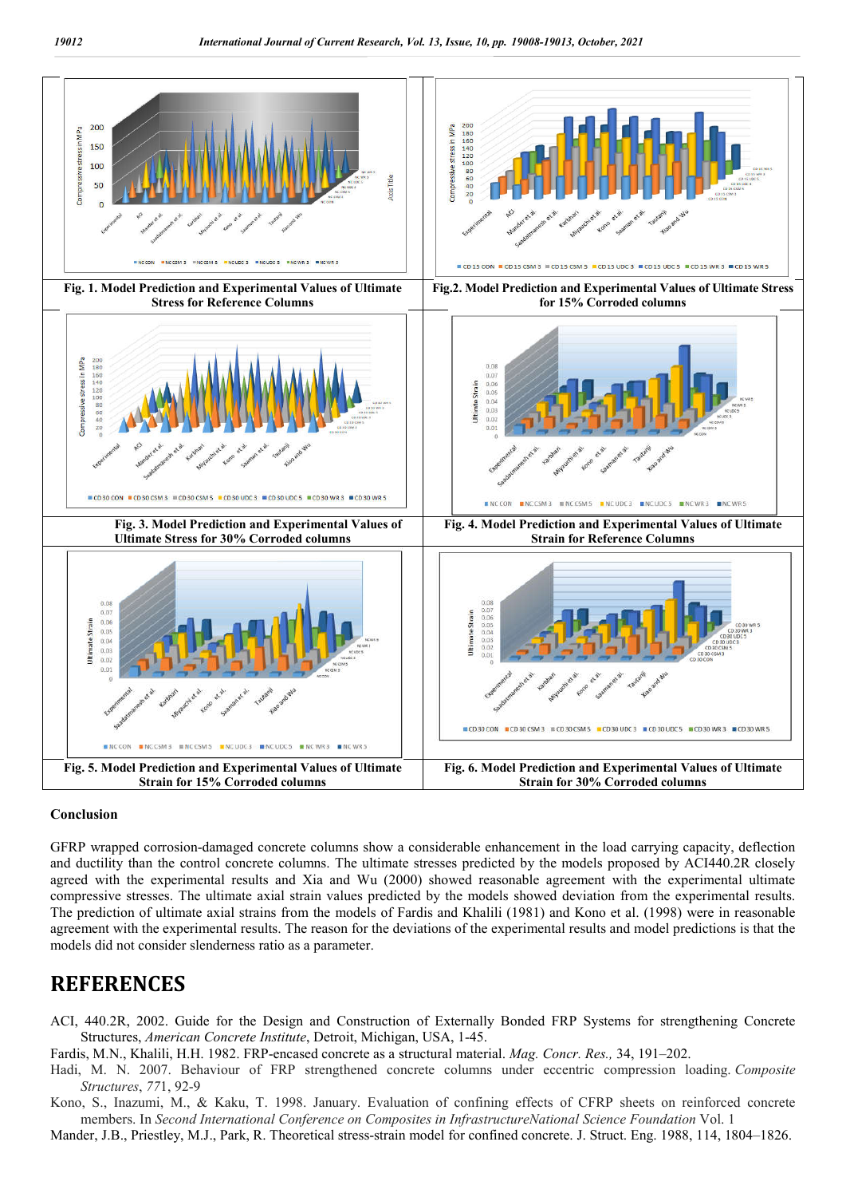

#### **Conclusion**

GFRP wrapped corrosion-damaged concrete columns show a considerable enhancement in the load carrying capacity, deflection and ductility than the control concrete columns. The ultimate stresses predicted by the models proposed by ACI440.2R closely agreed with the experimental results and Xia and Wu (2000) showed reasonable agreement with the experimental ultimate compressive stresses. The ultimate axial strain values predicted by the models showed deviation from the experimental results. The prediction of ultimate axial strains from the models of Fardis and Khalili (1981) and Kono et al. (1998) were in reasonable agreement with the experimental results. The reason for the deviations of the experimental results and model predictions is that the models did not consider slenderness ratio as a parameter.

## **REFERENCES**

ACI, 440.2R, 2002. Guide for the Design and Construction of Externally Bonded FRP Systems for strengthening Concrete Structures, *American Concrete Institute*, Detroit, Michigan, USA, 1-45.

Fardis, M.N., Khalili, H.H. 1982. FRP-encased concrete as a structural material. *Mag. Concr. Res.,* 34, 191–202.

Hadi, M. N. 2007. Behaviour of FRP strengthened concrete columns under eccentric compression loading. *Composite Structures*, *77*1, 92-9

Kono, S., Inazumi, M., & Kaku, T. 1998. January. Evaluation of confining effects of CFRP sheets on reinforced concrete members. In *Second International Conference on Composites in InfrastructureNational Science Foundation* Vol. 1

Mander, J.B., Priestley, M.J., Park, R. Theoretical stress-strain model for confined concrete. J. Struct. Eng. 1988, 114, 1804–1826.